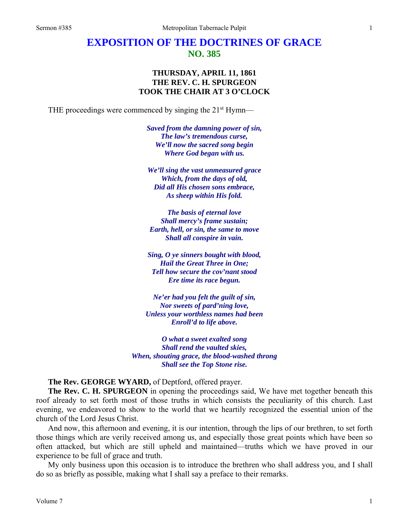# **EXPOSITION OF THE DOCTRINES OF GRACE NO. 385**

## **THURSDAY, APRIL 11, 1861 THE REV. C. H. SPURGEON TOOK THE CHAIR AT 3 O'CLOCK**

THE proceedings were commenced by singing the  $21<sup>st</sup>$  Hymn—

*Saved from the damning power of sin, The law's tremendous curse, We'll now the sacred song begin Where God began with us.* 

*We'll sing the vast unmeasured grace Which, from the days of old, Did all His chosen sons embrace, As sheep within His fold.* 

*The basis of eternal love Shall mercy's frame sustain; Earth, hell, or sin, the same to move Shall all conspire in vain.* 

*Sing, O ye sinners bought with blood, Hail the Great Three in One; Tell how secure the cov'nant stood Ere time its race begun.* 

*Ne'er had you felt the guilt of sin, Nor sweets of pard'ning love, Unless your worthless names had been Enroll'd to life above.* 

*O what a sweet exalted song Shall rend the vaulted skies, When, shouting grace, the blood-washed throng Shall see the Top Stone rise.* 

**The Rev. GEORGE WYARD,** of Deptford, offered prayer.

**The Rev. C. H. SPURGEON** in opening the proceedings said, We have met together beneath this roof already to set forth most of those truths in which consists the peculiarity of this church. Last evening, we endeavored to show to the world that we heartily recognized the essential union of the church of the Lord Jesus Christ.

And now, this afternoon and evening, it is our intention, through the lips of our brethren, to set forth those things which are verily received among us, and especially those great points which have been so often attacked, but which are still upheld and maintained—truths which we have proved in our experience to be full of grace and truth.

My only business upon this occasion is to introduce the brethren who shall address you, and I shall do so as briefly as possible, making what I shall say a preface to their remarks.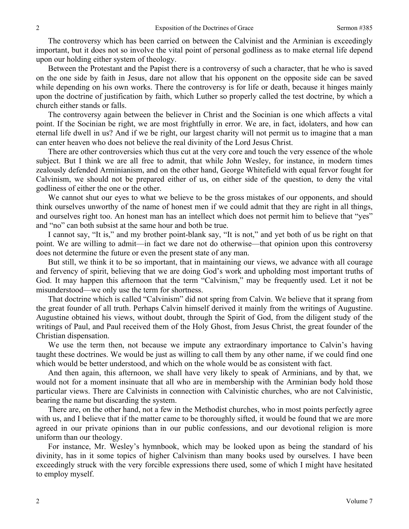The controversy which has been carried on between the Calvinist and the Arminian is exceedingly important, but it does not so involve the vital point of personal godliness as to make eternal life depend upon our holding either system of theology.

Between the Protestant and the Papist there is a controversy of such a character, that he who is saved on the one side by faith in Jesus, dare not allow that his opponent on the opposite side can be saved while depending on his own works. There the controversy is for life or death, because it hinges mainly upon the doctrine of justification by faith, which Luther so properly called the test doctrine, by which a church either stands or falls.

The controversy again between the believer in Christ and the Socinian is one which affects a vital point. If the Socinian be right, we are most frightfully in error. We are, in fact, idolaters, and how can eternal life dwell in us? And if we be right, our largest charity will not permit us to imagine that a man can enter heaven who does not believe the real divinity of the Lord Jesus Christ.

There are other controversies which thus cut at the very core and touch the very essence of the whole subject. But I think we are all free to admit, that while John Wesley, for instance, in modern times zealously defended Arminianism, and on the other hand, George Whitefield with equal fervor fought for Calvinism, we should not be prepared either of us, on either side of the question, to deny the vital godliness of either the one or the other.

We cannot shut our eyes to what we believe to be the gross mistakes of our opponents, and should think ourselves unworthy of the name of honest men if we could admit that they are right in all things, and ourselves right too. An honest man has an intellect which does not permit him to believe that "yes" and "no" can both subsist at the same hour and both be true.

I cannot say, "It is," and my brother point-blank say, "It is not," and yet both of us be right on that point. We are willing to admit—in fact we dare not do otherwise—that opinion upon this controversy does not determine the future or even the present state of any man.

But still, we think it to be so important, that in maintaining our views, we advance with all courage and fervency of spirit, believing that we are doing God's work and upholding most important truths of God. It may happen this afternoon that the term "Calvinism," may be frequently used. Let it not be misunderstood—we only use the term for shortness.

That doctrine which is called "Calvinism" did not spring from Calvin. We believe that it sprang from the great founder of all truth. Perhaps Calvin himself derived it mainly from the writings of Augustine. Augustine obtained his views, without doubt, through the Spirit of God, from the diligent study of the writings of Paul, and Paul received them of the Holy Ghost, from Jesus Christ, the great founder of the Christian dispensation.

We use the term then, not because we impute any extraordinary importance to Calvin's having taught these doctrines. We would be just as willing to call them by any other name, if we could find one which would be better understood, and which on the whole would be as consistent with fact.

And then again, this afternoon, we shall have very likely to speak of Arminians, and by that, we would not for a moment insinuate that all who are in membership with the Arminian body hold those particular views. There are Calvinists in connection with Calvinistic churches, who are not Calvinistic, bearing the name but discarding the system.

There are, on the other hand, not a few in the Methodist churches, who in most points perfectly agree with us, and I believe that if the matter came to be thoroughly sifted, it would be found that we are more agreed in our private opinions than in our public confessions, and our devotional religion is more uniform than our theology.

For instance, Mr. Wesley's hymnbook, which may be looked upon as being the standard of his divinity, has in it some topics of higher Calvinism than many books used by ourselves. I have been exceedingly struck with the very forcible expressions there used, some of which I might have hesitated to employ myself.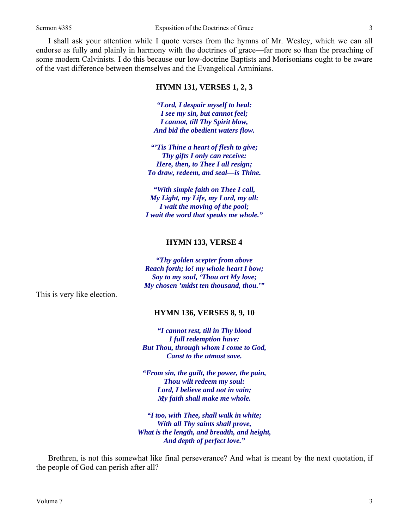I shall ask your attention while I quote verses from the hymns of Mr. Wesley, which we can all endorse as fully and plainly in harmony with the doctrines of grace—far more so than the preaching of some modern Calvinists. I do this because our low-doctrine Baptists and Morisonians ought to be aware of the vast difference between themselves and the Evangelical Arminians.

## **HYMN 131, VERSES 1, 2, 3**

*"Lord, I despair myself to heal: I see my sin, but cannot feel; I cannot, till Thy Spirit blow, And bid the obedient waters flow.* 

*"'Tis Thine a heart of flesh to give; Thy gifts I only can receive: Here, then, to Thee I all resign; To draw, redeem, and seal—is Thine.* 

*"With simple faith on Thee I call, My Light, my Life, my Lord, my all: I wait the moving of the pool; I wait the word that speaks me whole."* 

## **HYMN 133, VERSE 4**

*"Thy golden scepter from above Reach forth; lo! my whole heart I bow; Say to my soul, 'Thou art My love; My chosen 'midst ten thousand, thou.'"* 

This is very like election.

## **HYMN 136, VERSES 8, 9, 10**

*"I cannot rest, till in Thy blood I full redemption have: But Thou, through whom I come to God, Canst to the utmost save.* 

*"From sin, the guilt, the power, the pain, Thou wilt redeem my soul: Lord, I believe and not in vain; My faith shall make me whole.* 

*"I too, with Thee, shall walk in white; With all Thy saints shall prove, What is the length, and breadth, and height, And depth of perfect love."* 

Brethren, is not this somewhat like final perseverance? And what is meant by the next quotation, if the people of God can perish after all?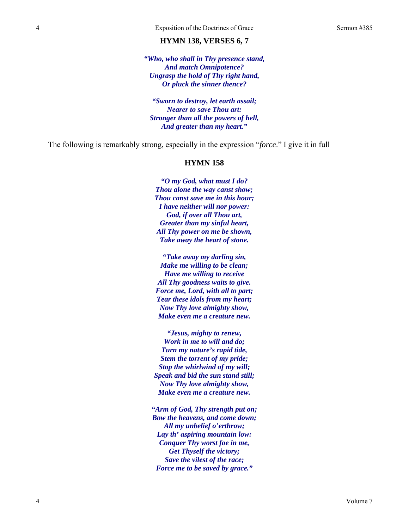## **HYMN 138, VERSES 6, 7**

*"Who, who shall in Thy presence stand, And match Omnipotence? Ungrasp the hold of Thy right hand, Or pluck the sinner thence?* 

*"Sworn to destroy, let earth assail; Nearer to save Thou art: Stronger than all the powers of hell, And greater than my heart."* 

The following is remarkably strong, especially in the expression "*force*." I give it in full——

## **HYMN 158**

*"O my God, what must I do? Thou alone the way canst show; Thou canst save me in this hour; I have neither will nor power: God, if over all Thou art, Greater than my sinful heart, All Thy power on me be shown, Take away the heart of stone.* 

*"Take away my darling sin, Make me willing to be clean; Have me willing to receive All Thy goodness waits to give. Force me, Lord, with all to part; Tear these idols from my heart; Now Thy love almighty show, Make even me a creature new.* 

*"Jesus, mighty to renew, Work in me to will and do; Turn my nature's rapid tide, Stem the torrent of my pride; Stop the whirlwind of my will; Speak and bid the sun stand still; Now Thy love almighty show, Make even me a creature new.* 

*"Arm of God, Thy strength put on; Bow the heavens, and come down; All my unbelief o'erthrow; Lay th' aspiring mountain low: Conquer Thy worst foe in me, Get Thyself the victory; Save the vilest of the race; Force me to be saved by grace."*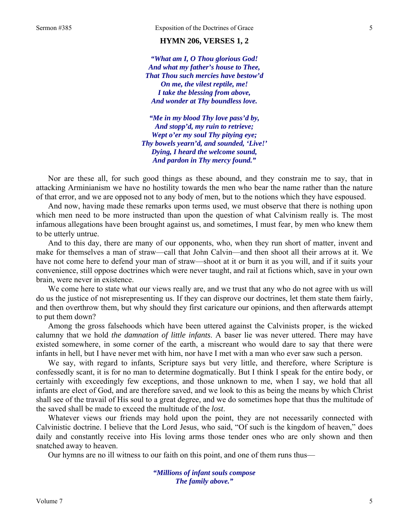#### **HYMN 206, VERSES 1, 2**

*"What am I, O Thou glorious God! And what my father's house to Thee, That Thou such mercies have bestow'd On me, the vilest reptile, me! I take the blessing from above, And wonder at Thy boundless love.* 

*"Me in my blood Thy love pass'd by, And stopp'd, my ruin to retrieve; Wept o'er my soul Thy pitying eye; Thy bowels yearn'd, and sounded, 'Live!' Dying, I heard the welcome sound, And pardon in Thy mercy found."* 

Nor are these all, for such good things as these abound, and they constrain me to say, that in attacking Arminianism we have no hostility towards the men who bear the name rather than the nature of that error, and we are opposed not to any body of men, but to the notions which they have espoused.

And now, having made these remarks upon terms used, we must observe that there is nothing upon which men need to be more instructed than upon the question of what Calvinism really is. The most infamous allegations have been brought against us, and sometimes, I must fear, by men who knew them to be utterly untrue.

And to this day, there are many of our opponents, who, when they run short of matter, invent and make for themselves a man of straw—call that John Calvin—and then shoot all their arrows at it. We have not come here to defend your man of straw—shoot at it or burn it as you will, and if it suits your convenience, still oppose doctrines which were never taught, and rail at fictions which, save in your own brain, were never in existence.

We come here to state what our views really are, and we trust that any who do not agree with us will do us the justice of not misrepresenting us. If they can disprove our doctrines, let them state them fairly, and then overthrow them, but why should they first caricature our opinions, and then afterwards attempt to put them down?

Among the gross falsehoods which have been uttered against the Calvinists proper, is the wicked calumny that we hold *the damnation of little infants*. A baser lie was never uttered. There may have existed somewhere, in some corner of the earth, a miscreant who would dare to say that there were infants in hell, but I have never met with him, nor have I met with a man who ever saw such a person.

We say, with regard to infants, Scripture says but very little, and therefore, where Scripture is confessedly scant, it is for no man to determine dogmatically. But I think I speak for the entire body, or certainly with exceedingly few exceptions, and those unknown to me, when I say, we hold that all infants are elect of God, and are therefore saved, and we look to this as being the means by which Christ shall see of the travail of His soul to a great degree, and we do sometimes hope that thus the multitude of the saved shall be made to exceed the multitude of the *lost*.

Whatever views our friends may hold upon the point, they are not necessarily connected with Calvinistic doctrine. I believe that the Lord Jesus, who said, "Of such is the kingdom of heaven," does daily and constantly receive into His loving arms those tender ones who are only shown and then snatched away to heaven.

Our hymns are no ill witness to our faith on this point, and one of them runs thus—

*"Millions of infant souls compose The family above."*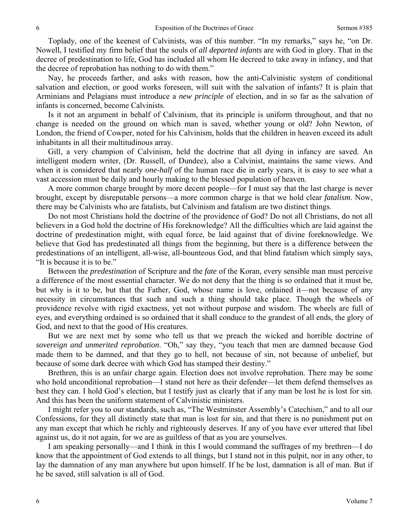Toplady, one of the keenest of Calvinists, was of this number. "In my remarks," says he, "on Dr. Nowell, I testified my firm belief that the souls of *all departed infants* are with God in glory. That in the decree of predestination to life, God has included all whom He decreed to take away in infancy, and that the decree of reprobation has nothing to do with them."

Nay, he proceeds farther, and asks with reason, how the anti-Calvinistic system of conditional salvation and election, or good works foreseen, will suit with the salvation of infants? It is plain that Arminians and Pelagians must introduce a *new principle* of election, and in so far as the salvation of infants is concerned, become Calvinists.

Is it not an argument in behalf of Calvinism, that its principle is uniform throughout, and that no change is needed on the ground on which man is saved, whether young or old? John Newton, of London, the friend of Cowper, noted for his Calvinism, holds that the children in heaven exceed its adult inhabitants in all their multitudinous array.

Gill, a very champion of Calvinism, held the doctrine that all dying in infancy are saved. An intelligent modern writer, (Dr. Russell, of Dundee), also a Calvinist, maintains the same views. And when it is considered that nearly *one-half* of the human race die in early years, it is easy to see what a vast accession must be daily and hourly making to the blessed population of heaven.

A more common charge brought by more decent people—for I must say that the last charge is never brought, except by disreputable persons—a more common charge is that we hold clear *fatalism*. Now, there may be Calvinists who are fatalists, but Calvinism and fatalism are two distinct things.

Do not most Christians hold the doctrine of the providence of God? Do not all Christians, do not all believers in a God hold the doctrine of His foreknowledge? All the difficulties which are laid against the doctrine of predestination might, with equal force, be laid against that of divine foreknowledge. We believe that God has predestinated all things from the beginning, but there is a difference between the predestinations of an intelligent, all-wise, all-bounteous God, and that blind fatalism which simply says, "It is because it is to be."

Between the *predestination* of Scripture and the *fate* of the Koran, every sensible man must perceive a difference of the most essential character. We do not deny that the thing is so ordained that it must be, but why is it to be, but that the Father, God, whose name is love, ordained it—not because of any necessity in circumstances that such and such a thing should take place. Though the wheels of providence revolve with rigid exactness, yet not without purpose and wisdom. The wheels are full of eyes, and everything ordained is so ordained that it shall conduce to the grandest of all ends, the glory of God, and next to that the good of His creatures.

But we are next met by some who tell us that we preach the wicked and horrible doctrine of *sovereign and unmerited reprobation*. "Oh," say they, "you teach that men are damned because God made them to be damned, and that they go to hell, not because of sin, not because of unbelief, but because of some dark decree with which God has stamped their destiny."

Brethren, this is an unfair charge again. Election does not involve reprobation. There may be some who hold unconditional reprobation—I stand not here as their defender—let them defend themselves as best they can. I hold God's election, but I testify just as clearly that if any man be lost he is lost for sin. And this has been the uniform statement of Calvinistic ministers.

I might refer you to our standards, such as, "The Westminster Assembly's Catechism," and to all our Confessions, for they all distinctly state that man is lost for sin, and that there is no punishment put on any man except that which he richly and righteously deserves. If any of you have ever uttered that libel against us, do it not again, for we are as guiltless of that as you are yourselves.

I am speaking personally—and I think in this I would command the suffrages of my brethren—I do know that the appointment of God extends to all things, but I stand not in this pulpit, nor in any other, to lay the damnation of any man anywhere but upon himself. If he be lost, damnation is all of man. But if he be saved, still salvation is all of God.

6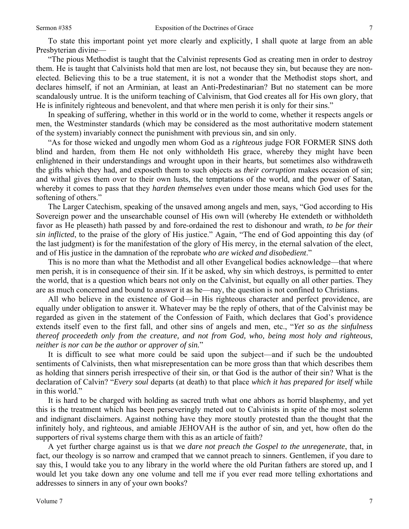"The pious Methodist is taught that the Calvinist represents God as creating men in order to destroy them. He is taught that Calvinists hold that men are lost, not because they sin, but because they are nonelected. Believing this to be a true statement, it is not a wonder that the Methodist stops short, and declares himself, if not an Arminian, at least an Anti-Predestinarian? But no statement can be more scandalously untrue. It is the uniform teaching of Calvinism, that God creates all for His own glory, that He is infinitely righteous and benevolent, and that where men perish it is only for their sins."

In speaking of suffering, whether in this world or in the world to come, whether it respects angels or men, the Westminster standards (which may be considered as the most authoritative modern statement of the system) invariably connect the punishment with previous sin, and sin only.

"As for those wicked and ungodly men whom God as a *righteous* judge FOR FORMER SINS doth blind and harden, from them He not only withholdeth His grace, whereby they might have been enlightened in their understandings and wrought upon in their hearts, but sometimes also withdraweth the gifts which they had, and exposeth them to such objects as *their corruption* makes occasion of sin; and withal gives them over to their own lusts, the temptations of the world, and the power of Satan, whereby it comes to pass that they *harden themselves* even under those means which God uses for the softening of others."

The Larger Catechism, speaking of the unsaved among angels and men, says, "God according to His Sovereign power and the unsearchable counsel of His own will (whereby He extendeth or withholdeth favor as He pleaseth) hath passed by and fore-ordained the rest to dishonour and wrath, *to be for their sin inflicted*, to the praise of the glory of His justice." Again, "The end of God appointing this day (of the last judgment) is for the manifestation of the glory of His mercy, in the eternal salvation of the elect, and of His justice in the damnation of the reprobate *who are wicked and disobedient*."

This is no more than what the Methodist and all other Evangelical bodies acknowledge—that where men perish, it is in consequence of their sin. If it be asked, why sin which destroys, is permitted to enter the world, that is a question which bears not only on the Calvinist, but equally on all other parties. They are as much concerned and bound to answer it as he—nay, the question is not confined to Christians.

All who believe in the existence of God—in His righteous character and perfect providence, are equally under obligation to answer it. Whatever may be the reply of others, that of the Calvinist may be regarded as given in the statement of the Confession of Faith, which declares that God's providence extends itself even to the first fall, and other sins of angels and men, etc., "*Yet so as the sinfulness thereof proceedeth only from the creature, and not from God, who, being most holy and righteous, neither is nor can be the author or approver of sin.*"

It is difficult to see what more could be said upon the subject—and if such be the undoubted sentiments of Calvinists, then what misrepresentation can be more gross than that which describes them as holding that sinners perish irrespective of their sin, or that God is the author of their sin? What is the declaration of Calvin? "*Every soul* departs (at death) to that place *which it has prepared for itself* while in this world."

It is hard to be charged with holding as sacred truth what one abhors as horrid blasphemy, and yet this is the treatment which has been perseveringly meted out to Calvinists in spite of the most solemn and indignant disclaimers. Against nothing have they more stoutly protested than the thought that the infinitely holy, and righteous, and amiable JEHOVAH is the author of sin, and yet, how often do the supporters of rival systems charge them with this as an article of faith?

A yet further charge against us is that we *dare not preach the Gospel to the unregenerate*, that, in fact, our theology is so narrow and cramped that we cannot preach to sinners. Gentlemen, if you dare to say this, I would take you to any library in the world where the old Puritan fathers are stored up, and I would let you take down any one volume and tell me if you ever read more telling exhortations and addresses to sinners in any of your own books?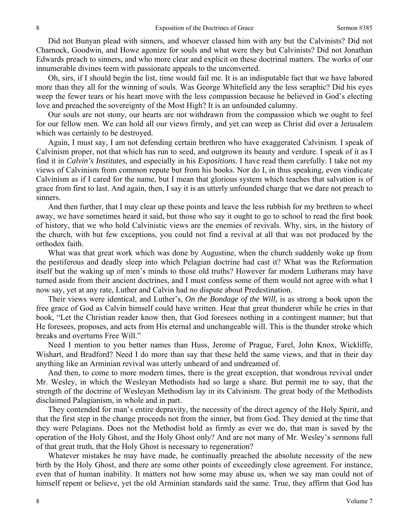Did not Bunyan plead with sinners, and whoever classed him with any but the Calvinists? Did not Charnock, Goodwin, and Howe agonize for souls and what were they but Calvinists? Did not Jonathan Edwards preach to sinners, and who more clear and explicit on these doctrinal matters. The works of our innumerable divines teem with passionate appeals to the unconverted.

Oh, sirs, if I should begin the list, time would fail me. It is an indisputable fact that we have labored more than they all for the winning of souls. Was George Whitefield any the less seraphic? Did his eyes weep the fewer tears or his heart move with the less compassion because he believed in God's electing love and preached the sovereignty of the Most High? It is an unfounded calumny.

Our souls are not stony, our hearts are not withdrawn from the compassion which we ought to feel for our fellow men. We can hold all our views firmly, and yet can weep as Christ did over a Jerusalem which was certainly to be destroyed.

Again, I must say, I am not defending certain brethren who have exaggerated Calvinism. I speak of Calvinism proper, not that which has run to seed, and outgrown its beauty and verdure. I speak of it as I find it in *Calvin's Institutes*, and especially in his *Expositions*. I have read them carefully. I take not my views of Calvinism from common repute but from his books. Nor do I, in thus speaking, even vindicate Calvinism as if I cared for the name, but I mean that glorious system which teaches that salvation is of grace from first to last. And again, then, I say it is an utterly unfounded charge that we dare not preach to sinners.

And then further, that I may clear up these points and leave the less rubbish for my brethren to wheel away, we have sometimes heard it said, but those who say it ought to go to school to read the first book of history, that we who hold Calvinistic views are the enemies of revivals. Why, sirs, in the history of the church, with but few exceptions, you could not find a revival at all that was not produced by the orthodox faith.

What was that great work which was done by Augustine, when the church suddenly woke up from the pestiferous and deadly sleep into which Pelagian doctrine had cast it? What was the Reformation itself but the waking up of men's minds to those old truths? However far modern Lutherans may have turned aside from their ancient doctrines, and I must confess some of them would not agree with what I now say, yet at any rate, Luther and Calvin had no dispute about Predestination.

Their views were identical, and Luther's, *On the Bondage of the Will,* is as strong a book upon the free grace of God as Calvin himself could have written. Hear that great thunderer while he cries in that book, "Let the Christian reader know then, that God foresees nothing in a contingent manner; but that He foresees, proposes, and acts from His eternal and unchangeable will. This is the thunder stroke which breaks and overturns Free Will."

Need I mention to you better names than Huss, Jerome of Prague, Farel, John Knox, Wickliffe, Wishart, and Bradford? Need I do more than say that these held the same views, and that in their day anything like an Arminian revival was utterly unheard of and undreamed of.

And then, to come to more modern times, there is the great exception, that wondrous revival under Mr. Wesley, in which the Wesleyan Methodists had so large a share. But permit me to say, that the strength of the doctrine of Wesleyan Methodism lay in its Calvinism. The great body of the Methodists disclaimed Palagianism, in whole and in part.

They contended for man's entire depravity, the necessity of the direct agency of the Holy Spirit, and that the first step in the change proceeds not from the sinner, but from God. They denied at the time that they were Pelagians. Does not the Methodist hold as firmly as ever we do, that man is saved by the operation of the Holy Ghost, and the Holy Ghost only? And are not many of Mr. Wesley's sermons full of that great truth, that the Holy Ghost is necessary to regeneration?

Whatever mistakes he may have made, he continually preached the absolute necessity of the new birth by the Holy Ghost, and there are some other points of exceedingly close agreement. For instance, even that of human inability. It matters not how some may abuse us, when we say man could not of himself repent or believe, yet the old Arminian standards said the same. True, they affirm that God has

8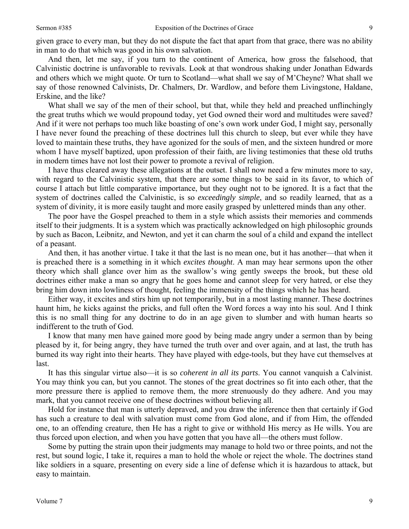given grace to every man, but they do not dispute the fact that apart from that grace, there was no ability in man to do that which was good in his own salvation.

And then, let me say, if you turn to the continent of America, how gross the falsehood, that Calvinistic doctrine is unfavorable to revivals. Look at that wondrous shaking under Jonathan Edwards and others which we might quote. Or turn to Scotland—what shall we say of M'Cheyne? What shall we say of those renowned Calvinists, Dr. Chalmers, Dr. Wardlow, and before them Livingstone, Haldane, Erskine, and the like?

What shall we say of the men of their school, but that, while they held and preached unflinchingly the great truths which we would propound today, yet God owned their word and multitudes were saved? And if it were not perhaps too much like boasting of one's own work under God, I might say, personally I have never found the preaching of these doctrines lull this church to sleep, but ever while they have loved to maintain these truths, they have agonized for the souls of men, and the sixteen hundred or more whom I have myself baptized, upon profession of their faith, are living testimonies that these old truths in modern times have not lost their power to promote a revival of religion.

I have thus cleared away these allegations at the outset. I shall now need a few minutes more to say, with regard to the Calvinistic system, that there are some things to be said in its favor, to which of course I attach but little comparative importance, but they ought not to be ignored. It is a fact that the system of doctrines called the Calvinistic, is so *exceedingly simple*, and so readily learned, that as a system of divinity*,* it is more easily taught and more easily grasped by unlettered minds than any other.

The poor have the Gospel preached to them in a style which assists their memories and commends itself to their judgments. It is a system which was practically acknowledged on high philosophic grounds by such as Bacon, Leibnitz, and Newton, and yet it can charm the soul of a child and expand the intellect of a peasant.

And then, it has another virtue. I take it that the last is no mean one, but it has another—that when it is preached there is a something in it which *excites thought*. A man may hear sermons upon the other theory which shall glance over him as the swallow's wing gently sweeps the brook, but these old doctrines either make a man so angry that he goes home and cannot sleep for very hatred, or else they bring him down into lowliness of thought, feeling the immensity of the things which he has heard.

Either way, it excites and stirs him up not temporarily, but in a most lasting manner. These doctrines haunt him, he kicks against the pricks, and full often the Word forces a way into his soul. And I think this is no small thing for any doctrine to do in an age given to slumber and with human hearts so indifferent to the truth of God.

I know that many men have gained more good by being made angry under a sermon than by being pleased by it, for being angry, they have turned the truth over and over again, and at last, the truth has burned its way right into their hearts. They have played with edge-tools, but they have cut themselves at last.

It has this singular virtue also—it is so *coherent in all its parts*. You cannot vanquish a Calvinist. You may think you can, but you cannot. The stones of the great doctrines so fit into each other, that the more pressure there is applied to remove them, the more strenuously do they adhere. And you may mark, that you cannot receive one of these doctrines without believing all.

Hold for instance that man is utterly depraved, and you draw the inference then that certainly if God has such a creature to deal with salvation must come from God alone, and if from Him, the offended one, to an offending creature, then He has a right to give or withhold His mercy as He wills. You are thus forced upon election, and when you have gotten that you have all—the others must follow.

Some by putting the strain upon their judgments may manage to hold two or three points, and not the rest, but sound logic, I take it, requires a man to hold the whole or reject the whole. The doctrines stand like soldiers in a square, presenting on every side a line of defense which it is hazardous to attack, but easy to maintain.